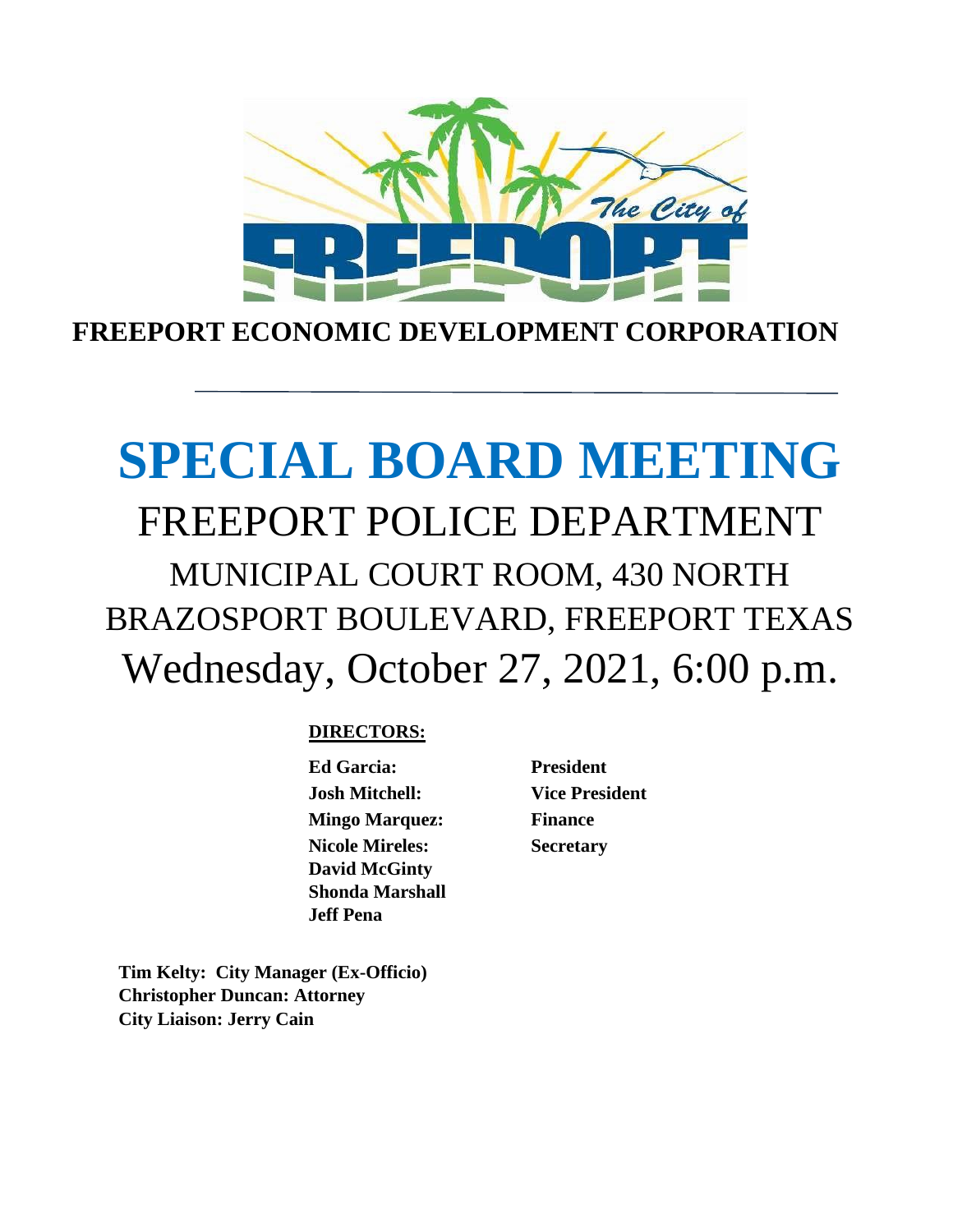

**FREEPORT ECONOMIC DEVELOPMENT CORPORATION**

# **SPECIAL BOARD MEETING** FREEPORT POLICE DEPARTMENT MUNICIPAL COURT ROOM, 430 NORTH BRAZOSPORT BOULEVARD, FREEPORT TEXAS Wednesday, October 27, 2021, 6:00 p.m.

# **DIRECTORS:**

**Ed Garcia: President Josh Mitchell: Vice President Mingo Marquez: Finance Nicole Mireles: David McGinty Shonda Marshall Jeff Pena**

**Secretary**

**Tim Kelty: City Manager (Ex-Officio) Christopher Duncan: Attorney City Liaison: Jerry Cain**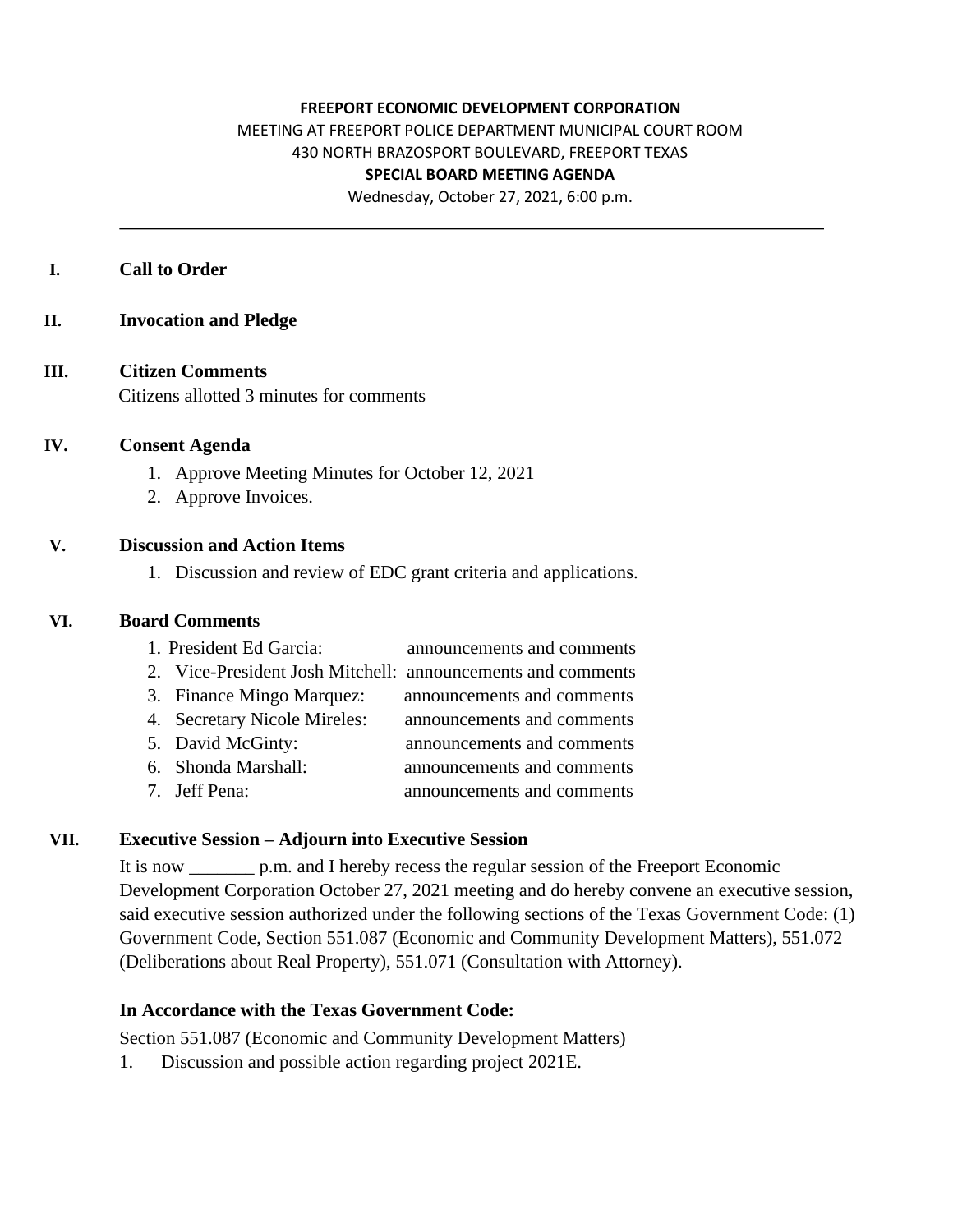#### **FREEPORT ECONOMIC DEVELOPMENT CORPORATION**

MEETING AT FREEPORT POLICE DEPARTMENT MUNICIPAL COURT ROOM

430 NORTH BRAZOSPORT BOULEVARD, FREEPORT TEXAS

#### **SPECIAL BOARD MEETING AGENDA**

Wednesday, October 27, 2021, 6:00 p.m.

#### **I. Call to Order**

**II. Invocation and Pledge**

## **III. Citizen Comments**

Citizens allotted 3 minutes for comments

#### **IV. Consent Agenda**

- 1. Approve Meeting Minutes for October 12, 2021
- 2. Approve Invoices.

#### **V. Discussion and Action Items**

1. Discussion and review of EDC grant criteria and applications.

#### **VI. Board Comments**

- 1. President Ed Garcia: announcements and comments
- 2. Vice-President Josh Mitchell: announcements and comments
- 3. Finance Mingo Marquez: announcements and comments
- 4. Secretary Nicole Mireles: announcements and comments
- 5. David McGinty: announcements and comments
- 6. Shonda Marshall: announcements and comments
- 7. Jeff Pena: announcements and comments

#### **VII. Executive Session – Adjourn into Executive Session**

It is now \_\_\_\_\_\_\_ p.m. and I hereby recess the regular session of the Freeport Economic Development Corporation October 27, 2021 meeting and do hereby convene an executive session, said executive session authorized under the following sections of the Texas Government Code: (1) Government Code, Section 551.087 (Economic and Community Development Matters), 551.072 (Deliberations about Real Property), 551.071 (Consultation with Attorney).

## **In Accordance with the Texas Government Code:**

Section 551.087 (Economic and Community Development Matters)

1. Discussion and possible action regarding project 2021E.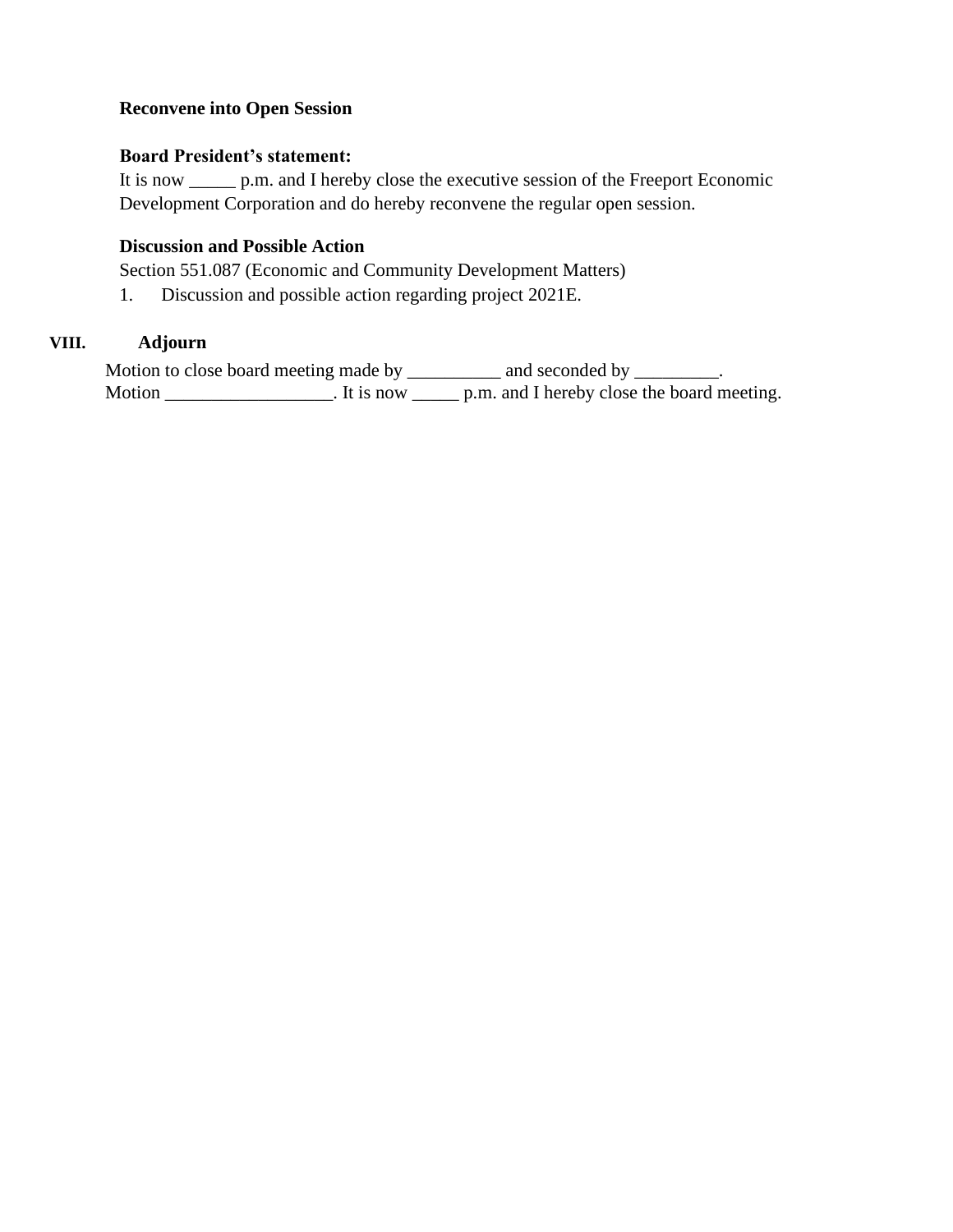## **Reconvene into Open Session**

### **Board President's statement:**

It is now \_\_\_\_\_ p.m. and I hereby close the executive session of the Freeport Economic Development Corporation and do hereby reconvene the regular open session.

## **Discussion and Possible Action**

Section 551.087 (Economic and Community Development Matters)

1. Discussion and possible action regarding project 2021E.

## **VIII. Adjourn**

Motion to close board meeting made by \_\_\_\_\_\_\_\_\_ and seconded by \_\_\_\_\_\_\_\_. Motion \_\_\_\_\_\_\_\_\_\_\_\_\_\_\_\_. It is now \_\_\_\_\_\_ p.m. and I hereby close the board meeting.